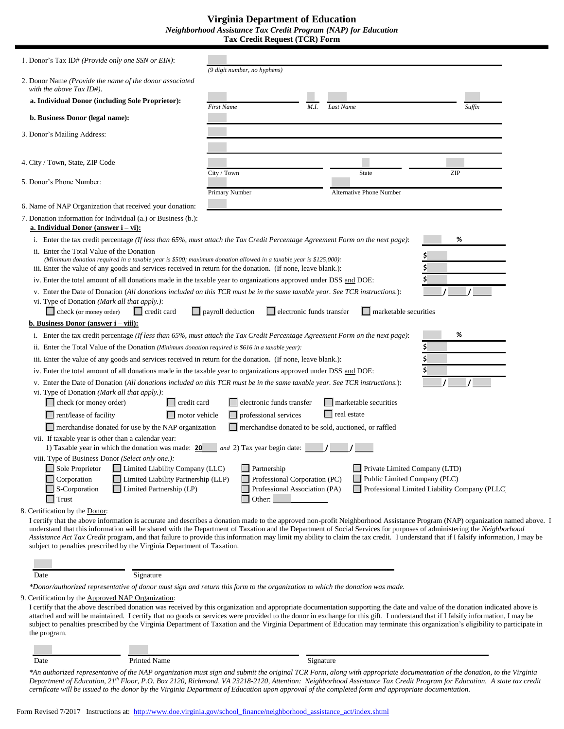| 1. Donor's Tax ID# (Provide only one SSN or EIN):                                                                                                                                                                                                                                                                                                                                                                                                                                                                                                                                                                    | (9 digit number, no hyphens)                                                       |                               |                                                      |  |
|----------------------------------------------------------------------------------------------------------------------------------------------------------------------------------------------------------------------------------------------------------------------------------------------------------------------------------------------------------------------------------------------------------------------------------------------------------------------------------------------------------------------------------------------------------------------------------------------------------------------|------------------------------------------------------------------------------------|-------------------------------|------------------------------------------------------|--|
| 2. Donor Name (Provide the name of the donor associated<br>with the above Tax ID#).                                                                                                                                                                                                                                                                                                                                                                                                                                                                                                                                  |                                                                                    |                               |                                                      |  |
| a. Individual Donor (including Sole Proprietor):                                                                                                                                                                                                                                                                                                                                                                                                                                                                                                                                                                     | <b>First Name</b><br>M.I.                                                          | Last Name                     | Suffix                                               |  |
| b. Business Donor (legal name):                                                                                                                                                                                                                                                                                                                                                                                                                                                                                                                                                                                      |                                                                                    |                               |                                                      |  |
| 3. Donor's Mailing Address:                                                                                                                                                                                                                                                                                                                                                                                                                                                                                                                                                                                          |                                                                                    |                               |                                                      |  |
|                                                                                                                                                                                                                                                                                                                                                                                                                                                                                                                                                                                                                      |                                                                                    |                               |                                                      |  |
| 4. City / Town, State, ZIP Code                                                                                                                                                                                                                                                                                                                                                                                                                                                                                                                                                                                      |                                                                                    |                               |                                                      |  |
| 5. Donor's Phone Number:                                                                                                                                                                                                                                                                                                                                                                                                                                                                                                                                                                                             | City / Town                                                                        | State                         | ZIP                                                  |  |
|                                                                                                                                                                                                                                                                                                                                                                                                                                                                                                                                                                                                                      | Primary Number                                                                     | Alternative Phone Number      |                                                      |  |
| 6. Name of NAP Organization that received your donation:                                                                                                                                                                                                                                                                                                                                                                                                                                                                                                                                                             |                                                                                    |                               |                                                      |  |
| 7. Donation information for Individual (a.) or Business (b.):<br>a. Individual Donor (answer $i - vi$ ):                                                                                                                                                                                                                                                                                                                                                                                                                                                                                                             |                                                                                    |                               |                                                      |  |
| i. Enter the tax credit percentage (If less than 65%, must attach the Tax Credit Percentage Agreement Form on the next page):                                                                                                                                                                                                                                                                                                                                                                                                                                                                                        |                                                                                    |                               | %                                                    |  |
| ii. Enter the Total Value of the Donation<br>(Minimum donation required in a taxable year is \$500; maximum donation allowed in a taxable year is \$125,000):<br>iii. Enter the value of any goods and services received in return for the donation. (If none, leave blank.):                                                                                                                                                                                                                                                                                                                                        |                                                                                    |                               |                                                      |  |
| iv. Enter the total amount of all donations made in the taxable year to organizations approved under DSS and DOE:                                                                                                                                                                                                                                                                                                                                                                                                                                                                                                    |                                                                                    |                               |                                                      |  |
| v. Enter the Date of Donation (All donations included on this TCR must be in the same taxable year. See TCR instructions.):<br>vi. Type of Donation (Mark all that apply.):<br>$\Box$ check (or money order)<br>$\Box$ credit card                                                                                                                                                                                                                                                                                                                                                                                   | electronic funds transfer<br>$\Box$ payroll deduction                              | $\Box$ marketable securities  |                                                      |  |
| <b>b.</b> Business Donor (answer $i - viii$ ):                                                                                                                                                                                                                                                                                                                                                                                                                                                                                                                                                                       |                                                                                    |                               |                                                      |  |
| i. Enter the tax credit percentage (If less than 65%, must attach the Tax Credit Percentage Agreement Form on the next page):                                                                                                                                                                                                                                                                                                                                                                                                                                                                                        |                                                                                    |                               | %                                                    |  |
| ii. Enter the Total Value of the Donation (Minimum donation required is \$616 in a taxable year):                                                                                                                                                                                                                                                                                                                                                                                                                                                                                                                    |                                                                                    |                               |                                                      |  |
| iii. Enter the value of any goods and services received in return for the donation. (If none, leave blank.):                                                                                                                                                                                                                                                                                                                                                                                                                                                                                                         |                                                                                    |                               |                                                      |  |
| iv. Enter the total amount of all donations made in the taxable year to organizations approved under DSS and DOE:                                                                                                                                                                                                                                                                                                                                                                                                                                                                                                    |                                                                                    |                               |                                                      |  |
| v. Enter the Date of Donation (All donations included on this TCR must be in the same taxable year. See TCR instructions.):<br>vi. Type of Donation (Mark all that apply.):                                                                                                                                                                                                                                                                                                                                                                                                                                          |                                                                                    |                               |                                                      |  |
| credit card<br>check (or money order)                                                                                                                                                                                                                                                                                                                                                                                                                                                                                                                                                                                | electronic funds transfer                                                          | marketable securities         |                                                      |  |
| real estate<br>$\Box$ professional services<br>$\Box$ rent/lease of facility<br>motor vehicle                                                                                                                                                                                                                                                                                                                                                                                                                                                                                                                        |                                                                                    |                               |                                                      |  |
| $\Box$ merchandise donated for use by the NAP organization                                                                                                                                                                                                                                                                                                                                                                                                                                                                                                                                                           | merchandise donated to be sold, auctioned, or raffled                              |                               |                                                      |  |
| vii. If taxable year is other than a calendar year:<br>1) Taxable year in which the donation was made: 20                                                                                                                                                                                                                                                                                                                                                                                                                                                                                                            | and 2) Tax year begin date:                                                        |                               |                                                      |  |
| viii. Type of Business Donor (Select only one.):                                                                                                                                                                                                                                                                                                                                                                                                                                                                                                                                                                     |                                                                                    |                               |                                                      |  |
| $\Box$ Sole Proprietor<br>$\Box$ Limited Liability Company (LLC)                                                                                                                                                                                                                                                                                                                                                                                                                                                                                                                                                     | $\Box$ Partnership                                                                 | Private Limited Company (LTD) |                                                      |  |
| $\Box$ Corporation<br>Limited Liability Partnership (LLP)<br>$\Box$ S-Corporation<br>$\Box$ Limited Partnership (LP)<br>$\Box$ Trust                                                                                                                                                                                                                                                                                                                                                                                                                                                                                 | Professional Corporation (PC)<br>Professional Association (PA)<br>Other:<br>$\Box$ | Public Limited Company (PLC)  | $\Box$ Professional Limited Liability Company (PLLC) |  |
| 8. Certification by the Donor:                                                                                                                                                                                                                                                                                                                                                                                                                                                                                                                                                                                       |                                                                                    |                               |                                                      |  |
| I certify that the above information is accurate and describes a donation made to the approved non-profit Neighborhood Assistance Program (NAP) organization named above. I<br>understand that this information will be shared with the Department of Taxation and the Department of Social Services for purposes of administering the Neighborhood<br>Assistance Act Tax Credit program, and that failure to provide this information may limit my ability to claim the tax credit. I understand that if I falsify information, I may be<br>subject to penalties prescribed by the Virginia Department of Taxation. |                                                                                    |                               |                                                      |  |

#### Date Signature

*\*Donor/authorized representative of donor must sign and return this form to the organization to which the donation was made.* 

9. Certification by the Approved NAP Organization:

I certify that the above described donation was received by this organization and appropriate documentation supporting the date and value of the donation indicated above is attached and will be maintained. I certify that no goods or services were provided to the donor in exchange for this gift. I understand that if I falsify information, I may be subject to penalties prescribed by the Virginia Department of Taxation and the Virginia Department of Education may terminate this organization's eligibility to participate in the program.

Date **Printed Name** Signature Signature

*\*An authorized representative of the NAP organization must sign and submit the original TCR Form, along with appropriate documentation of the donation, to the Virginia Department of Education, 21 th Floor, P.O. Box 2120, Richmond, VA 23218-2120, Attention: Neighborhood Assistance Tax Credit Program for Education. A state tax credit certificate will be issued to the donor by the Virginia Department of Education upon approval of the completed form and appropriate documentation.*